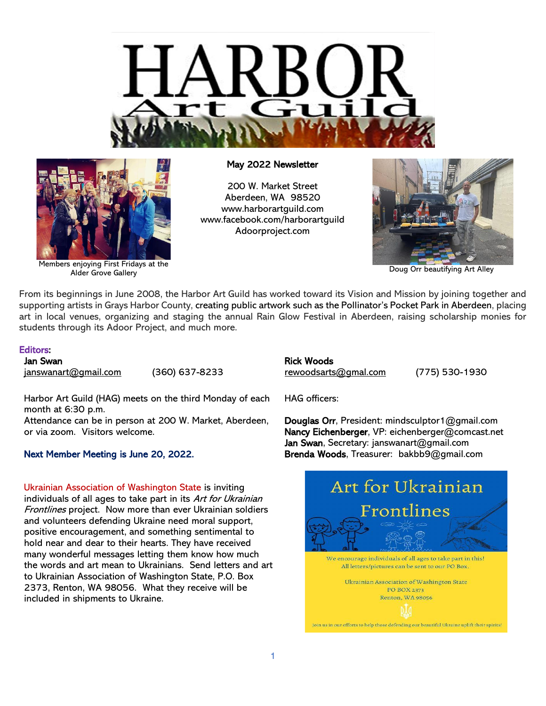



Members enjoying First Fridays at the Alder Grove Gallery

# May 2022 Newsletter

200 W. Market Street Aberdeen, WA 98520 [www.harborartguild.com](http://www.harborartguild.com/) [www.facebook.com/harborartguild](http://www.facebook.com/harborartguild) Adoorproject.com



Doug Orr beautifying Art Alley

From its beginnings in June 2008, the Harbor Art Guild has worked toward its Vision and Mission by joining together and supporting artists in Grays Harbor County, creating public artwork such as the Pollinator's Pocket Park in Aberdeen, placing art in local venues, organizing and staging the annual Rain Glow Festival in Aberdeen, raising scholarship monies for students through its Adoor Project, and much more.

# Editors:

Jan Swan [janswanart@gmail.com](mailto:janswanart@gmail.com) (360) 637-8233

Harbor Art Guild (HAG) meets on the third Monday of each month at 6:30 p.m.

Attendance can be in person at 200 W. Market, Aberdeen, or via zoom. Visitors welcome.

# Next Member Meeting is June 20, 2022.

Ukrainian Association of Washington State is inviting individuals of all ages to take part in its Art for Ukrainian Frontlines project. Now more than ever Ukrainian soldiers and volunteers defending Ukraine need moral support, positive encouragement, and something sentimental to hold near and dear to their hearts. They have received many wonderful messages letting them know how much the words and art mean to Ukrainians. Send letters and art to Ukrainian Association of Washington State, P.O. Box 2373, Renton, WA 98056. What they receive will be included in shipments to Ukraine.

# Rick Woods

[rewoodsarts@gmal.com](mailto:rewoodsarts@gmal.com) (775) 530-1930

HAG officers:

Douglas Orr, President: mindsculptor1@gmail.com Nancy Eichenberger, VP: eichenberger@comcast.net Jan Swan, Secretary: janswanart@gmail.com Brenda Woods, Treasurer: bakbb9@gmail.com

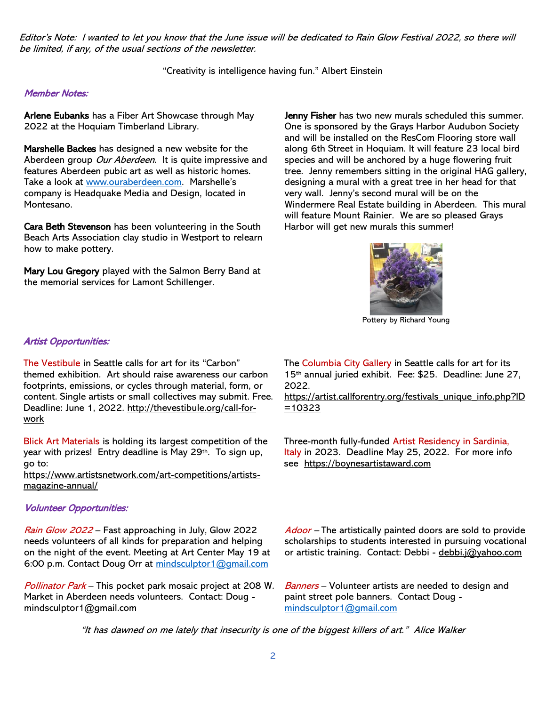Editor's Note: I wanted to let you know that the June issue will be dedicated to Rain Glow Festival 2022, so there will be limited, if any, of the usual sections of the newsletter.

"Creativity is intelligence having fun." Albert Einstein

# Member Notes:

Arlene Eubanks has a Fiber Art Showcase through May 2022 at the Hoquiam Timberland Library.

Marshelle Backes has designed a new website for the Aberdeen group Our Aberdeen. It is quite impressive and features Aberdeen pubic art as well as historic homes. Take a look at [www.ouraberdeen.com.](http://www.ouraberdeen.com/) Marshelle's company is Headquake Media and Design, located in Montesano.

Cara Beth Stevenson has been volunteering in the South Beach Arts Association clay studio in Westport to relearn how to make pottery.

Mary Lou Gregory played with the Salmon Berry Band at the memorial services for Lamont Schillenger.

Jenny Fisher has two new murals scheduled this summer. One is sponsored by the Grays Harbor Audubon Society and will be installed on the ResCom Flooring store wall along 6th Street in Hoquiam. It will feature 23 local bird species and will be anchored by a huge flowering fruit tree. Jenny remembers sitting in the original HAG gallery, designing a mural with a great tree in her head for that very wall. Jenny's second mural will be on the Windermere Real Estate building in Aberdeen. This mural will feature Mount Rainier. We are so pleased Grays Harbor will get new murals this summer!



Pottery by Richard Young

# Artist Opportunities:

The Vestibule in Seattle calls for art for its "Carbon" themed exhibition. Art should raise awareness our carbon footprints, emissions, or cycles through material, form, or content. Single artists or small collectives may submit. Free. Deadline: June 1, 2022. [http://thevestibule.org/call-for](http://thevestibule.org/call-for-work)[work](http://thevestibule.org/call-for-work)

Blick Art Materials is holding its largest competition of the year with prizes! Entry deadline is May 29<sup>th</sup>. To sign up, go to:

[https://www.artistsnetwork.com/art-competitions/artists](https://www.artistsnetwork.com/art-competitions/artists-magazine-annual/?utm_campaign=Artists%20Network%20-%20Competition&utm_medium=email&utm_content=211820410&utm_source=hs_email)[magazine-annual/](https://www.artistsnetwork.com/art-competitions/artists-magazine-annual/?utm_campaign=Artists%20Network%20-%20Competition&utm_medium=email&utm_content=211820410&utm_source=hs_email)

# Volunteer Opportunities:

Rain Glow 2022 – Fast approaching in July, Glow 2022 needs volunteers of all kinds for preparation and helping on the night of the event. Meeting at Art Center May 19 at 6:00 p.m. Contact Doug Orr at [mindsculptor1@gmail.com](mailto:mindsculptor1@gmail.com)

Pollinator Park – This pocket park mosaic project at 208 W. Market in Aberdeen needs volunteers. Contact: Doug mindsculptor1@gmail.com

The Columbia City Gallery in Seattle calls for art for its 15th annual juried exhibit. Fee: \$25. Deadline: June 27, 2022.

[https://artist.callforentry.org/festivals\\_unique\\_info.php?ID](https://artist.callforentry.org/festivals_unique_info.php?ID=10323) [=10323](https://artist.callforentry.org/festivals_unique_info.php?ID=10323)

Three-month fully-funded Artist Residency in Sardinia, Italy in 2023. Deadline May 25, 2022. For more info see [https://boynesartistaward.com](https://boynesartistaward.com/)

Adoor – The artistically painted doors are sold to provide scholarships to students interested in pursuing vocational or artistic training. Contact: Debbi - debbi.j@yahoo.com

Banners – Volunteer artists are needed to design and paint street pole banners. Contact Doug [mindsculptor1@gmail.com](mailto:mindsculptor1@gmail.com)

"It has dawned on me lately that insecurity is one of the biggest killers of art." Alice Walker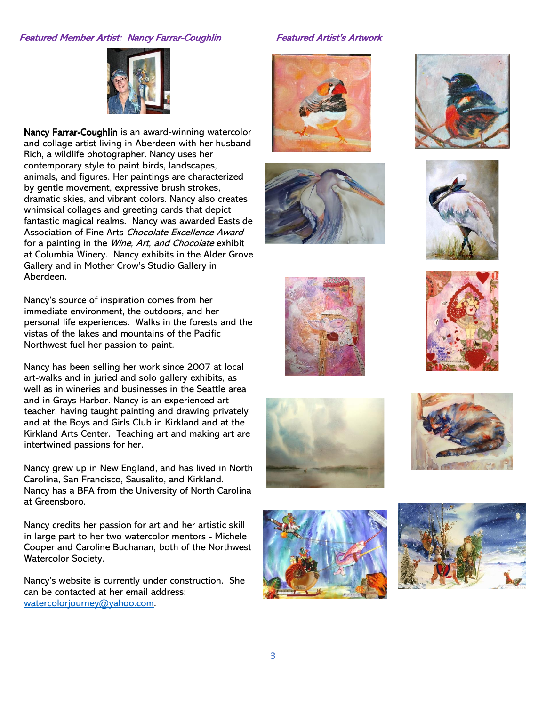# Featured Member Artist: Nancy Farrar-Coughlin Featured Artist's Artwork



Nancy Farrar-Coughlin is an award-winning watercolor and collage artist living in Aberdeen with her husband Rich, a wildlife photographer. Nancy uses her contemporary style to paint birds, landscapes, animals, and figures. Her paintings are characterized by gentle movement, expressive brush strokes, dramatic skies, and vibrant colors. Nancy also creates whimsical collages and greeting cards that depict fantastic magical realms. Nancy was awarded Eastside Association of Fine Arts Chocolate Excellence Award for a painting in the *Wine, Art, and Chocolate* exhibit at Columbia Winery. Nancy exhibits in the Alder Grove Gallery and in Mother Crow's Studio Gallery in Aberdeen.

Nancy's source of inspiration comes from her immediate environment, the outdoors, and her personal life experiences. Walks in the forests and the vistas of the lakes and mountains of the Pacific Northwest fuel her passion to paint.

Nancy has been selling her work since 2007 at local art-walks and in juried and solo gallery exhibits, as well as in wineries and businesses in the Seattle area and in Grays Harbor. Nancy is an experienced art teacher, having taught painting and drawing privately and at the Boys and Girls Club in Kirkland and at the Kirkland Arts Center. Teaching art and making art are intertwined passions for her.

Nancy grew up in New England, and has lived in North Carolina, San Francisco, Sausalito, and Kirkland. Nancy has a BFA from the University of North Carolina at Greensboro.

Nancy credits her passion for art and her artistic skill in large part to her two watercolor mentors - Michele Cooper and Caroline Buchanan, both of the Northwest Watercolor Society.

Nancy's website is currently under construction. She can be contacted at her email address: [watercolorjourney@yahoo.com.](mailto:watercolorjourney@yahoo.com)